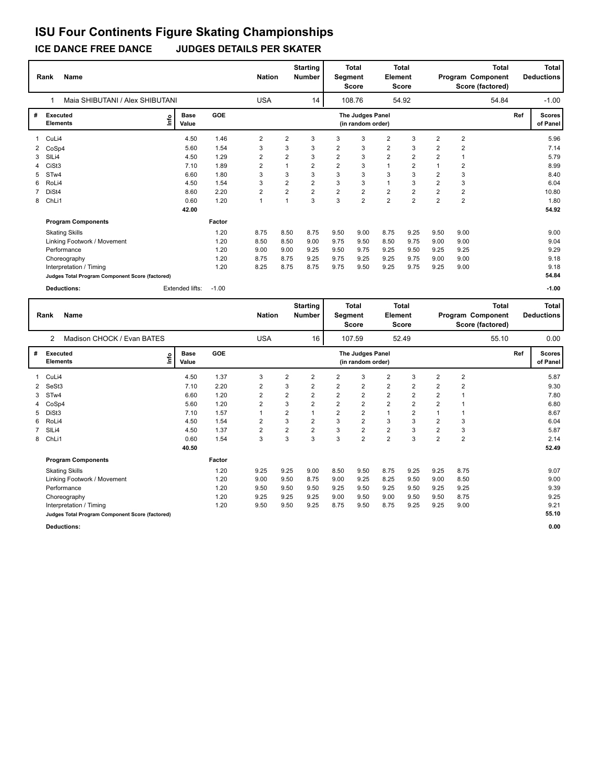**ICE DANCE FREE DANCE JUDGES DETAILS PER SKATER**

|    | <b>Name</b><br>Rank                             |                      |         | <b>Nation</b>           |                         | <b>Starting</b><br><b>Number</b> | Segment        | <b>Total</b><br><b>Score</b>          | <b>Element</b> | Total<br><b>Score</b>   |                         |                         | Total<br>Program Component<br>Score (factored) |     | <b>Total</b><br><b>Deductions</b> |
|----|-------------------------------------------------|----------------------|---------|-------------------------|-------------------------|----------------------------------|----------------|---------------------------------------|----------------|-------------------------|-------------------------|-------------------------|------------------------------------------------|-----|-----------------------------------|
|    | Maia SHIBUTANI / Alex SHIBUTANI                 |                      |         | <b>USA</b>              |                         | 14                               |                | 108.76                                |                | 54.92                   |                         |                         | 54.84                                          |     | $-1.00$                           |
| #  | Executed<br>١m<br><b>Elements</b>               | <b>Base</b><br>Value | GOE     |                         |                         |                                  |                | The Judges Panel<br>(in random order) |                |                         |                         |                         |                                                | Ref | <b>Scores</b><br>of Panel         |
|    | CuLi4                                           | 4.50                 | 1.46    | $\overline{\mathbf{c}}$ | 2                       | 3                                | 3              | 3                                     | $\overline{2}$ | 3                       | $\overline{\mathbf{c}}$ | $\overline{2}$          |                                                |     | 5.96                              |
|    | 2 CoSp4                                         | 5.60                 | 1.54    | 3                       | 3                       | 3                                | 2              | 3                                     | $\overline{2}$ | 3                       | $\overline{2}$          | 2                       |                                                |     | 7.14                              |
| 3  | SILi4                                           | 4.50                 | 1.29    | $\overline{\mathbf{c}}$ | $\overline{\mathbf{c}}$ | 3                                | $\overline{2}$ | 3                                     | $\overline{2}$ | $\overline{\mathbf{c}}$ | $\overline{2}$          | 1                       |                                                |     | 5.79                              |
|    | CiSt <sub>3</sub>                               | 7.10                 | 1.89    | $\overline{2}$          | $\overline{1}$          | $\overline{2}$                   | $\overline{2}$ | 3                                     | $\overline{1}$ | $\overline{2}$          |                         | $\overline{2}$          |                                                |     | 8.99                              |
| 5. | ST <sub>w</sub> 4                               | 6.60                 | 1.80    | 3                       | 3                       | 3                                | 3              | 3                                     | 3              | 3                       | 2                       | 3                       |                                                |     | 8.40                              |
| 6  | RoLi4                                           | 4.50                 | 1.54    | 3                       | $\overline{2}$          | $\overline{\mathbf{c}}$          | 3              | 3                                     | $\mathbf{1}$   | 3                       | $\overline{2}$          | 3                       |                                                |     | 6.04                              |
|    | DiSt4                                           | 8.60                 | 2.20    | 2                       | $\overline{2}$          | $\overline{\mathbf{c}}$          | $\overline{2}$ | 2                                     | $\mathbf 2$    | $\overline{2}$          | $\overline{2}$          | $\overline{\mathbf{c}}$ |                                                |     | 10.80                             |
| 8  | ChLi1                                           | 0.60                 | 1.20    | $\overline{1}$          |                         | 3                                | 3              | $\overline{2}$                        | $\overline{2}$ | $\overline{2}$          | $\overline{2}$          | $\overline{2}$          |                                                |     | 1.80                              |
|    |                                                 | 42.00                |         |                         |                         |                                  |                |                                       |                |                         |                         |                         |                                                |     | 54.92                             |
|    | <b>Program Components</b>                       |                      | Factor  |                         |                         |                                  |                |                                       |                |                         |                         |                         |                                                |     |                                   |
|    | <b>Skating Skills</b>                           |                      | 1.20    | 8.75                    | 8.50                    | 8.75                             | 9.50           | 9.00                                  | 8.75           | 9.25                    | 9.50                    | 9.00                    |                                                |     | 9.00                              |
|    | Linking Footwork / Movement                     |                      | 1.20    | 8.50                    | 8.50                    | 9.00                             | 9.75           | 9.50                                  | 8.50           | 9.75                    | 9.00                    | 9.00                    |                                                |     | 9.04                              |
|    | Performance                                     |                      | 1.20    | 9.00                    | 9.00                    | 9.25                             | 9.50           | 9.75                                  | 9.25           | 9.50                    | 9.25                    | 9.25                    |                                                |     | 9.29                              |
|    | Choreography                                    |                      | 1.20    | 8.75                    | 8.75                    | 9.25                             | 9.75           | 9.25                                  | 9.25           | 9.75                    | 9.00                    | 9.00                    |                                                |     | 9.18                              |
|    | Interpretation / Timing                         |                      | 1.20    | 8.25                    | 8.75                    | 8.75                             | 9.75           | 9.50                                  | 9.25           | 9.75                    | 9.25                    | 9.00                    |                                                |     | 9.18                              |
|    | Judges Total Program Component Score (factored) |                      |         |                         |                         |                                  |                |                                       |                |                         |                         |                         |                                                |     | 54.84                             |
|    | <b>Deductions:</b>                              | Extended lifts:      | $-1.00$ |                         |                         |                                  |                |                                       |                |                         |                         |                         |                                                |     | $-1.00$                           |

|   | Name<br>Rank                                    |                      |        | <b>Nation</b>           |                | <b>Starting</b><br><b>Number</b> | Segment        | <b>Total</b><br>Score                 | Element        | Total<br>Score |                |                | <b>Total</b><br>Program Component<br>Score (factored) |     | <b>Total</b><br><b>Deductions</b> |
|---|-------------------------------------------------|----------------------|--------|-------------------------|----------------|----------------------------------|----------------|---------------------------------------|----------------|----------------|----------------|----------------|-------------------------------------------------------|-----|-----------------------------------|
|   | Madison CHOCK / Evan BATES<br>2                 |                      |        | <b>USA</b>              |                | 16                               |                | 107.59                                |                | 52.49          |                |                | 55.10                                                 |     | 0.00                              |
| # | <b>Executed</b><br>١nfo<br><b>Elements</b>      | <b>Base</b><br>Value | GOE    |                         |                |                                  |                | The Judges Panel<br>(in random order) |                |                |                |                |                                                       | Ref | <b>Scores</b><br>of Panel         |
|   | CuLi4                                           | 4.50                 | 1.37   | 3                       | $\overline{2}$ | 2                                | $\overline{2}$ | 3                                     | $\overline{2}$ | 3              | $\overline{2}$ | $\overline{2}$ |                                                       |     | 5.87                              |
| 2 | SeSt <sub>3</sub>                               | 7.10                 | 2.20   | 2                       | 3              | 2                                | $\overline{2}$ | $\overline{2}$                        | $\overline{2}$ | 2              | $\overline{2}$ | $\overline{2}$ |                                                       |     | 9.30                              |
| 3 | STw4                                            | 6.60                 | 1.20   | $\overline{2}$          | $\overline{2}$ | $\overline{2}$                   | $\overline{2}$ | $\overline{2}$                        | $\overline{2}$ | $\overline{2}$ | $\overline{2}$ |                |                                                       |     | 7.80                              |
|   | CoSp4                                           | 5.60                 | 1.20   | 2                       | 3              | $\overline{2}$                   | $\overline{2}$ | $\overline{2}$                        | $\overline{2}$ | $\overline{2}$ | $\overline{2}$ |                |                                                       |     | 6.80                              |
| 5 | DiSt3                                           | 7.10                 | 1.57   |                         | $\overline{2}$ |                                  | $\overline{2}$ | $\overline{2}$                        | $\mathbf{1}$   | $\overline{2}$ |                |                |                                                       |     | 8.67                              |
| 6 | RoLi4                                           | 4.50                 | 1.54   | $\overline{\mathbf{c}}$ | 3              | $\overline{2}$                   | 3              | $\overline{2}$                        | 3              | 3              | $\overline{2}$ | 3              |                                                       |     | 6.04                              |
|   | SIL <sub>i4</sub>                               | 4.50                 | 1.37   | $\overline{\mathbf{c}}$ | $\overline{2}$ | $\overline{2}$                   | 3              | $\overline{2}$                        | $\overline{2}$ | 3              | $\overline{2}$ | 3              |                                                       |     | 5.87                              |
| 8 | ChLi1                                           | 0.60                 | 1.54   | 3                       | 3              | 3                                | 3              | $\overline{2}$                        | $\overline{2}$ | 3              | $\overline{2}$ | $\overline{2}$ |                                                       |     | 2.14                              |
|   |                                                 | 40.50                |        |                         |                |                                  |                |                                       |                |                |                |                |                                                       |     | 52.49                             |
|   | <b>Program Components</b>                       |                      | Factor |                         |                |                                  |                |                                       |                |                |                |                |                                                       |     |                                   |
|   | <b>Skating Skills</b>                           |                      | 1.20   | 9.25                    | 9.25           | 9.00                             | 8.50           | 9.50                                  | 8.75           | 9.25           | 9.25           | 8.75           |                                                       |     | 9.07                              |
|   | Linking Footwork / Movement                     |                      | 1.20   | 9.00                    | 9.50           | 8.75                             | 9.00           | 9.25                                  | 8.25           | 9.50           | 9.00           | 8.50           |                                                       |     | 9.00                              |
|   | Performance                                     |                      | 1.20   | 9.50                    | 9.50           | 9.50                             | 9.25           | 9.50                                  | 9.25           | 9.50           | 9.25           | 9.25           |                                                       |     | 9.39                              |
|   | Choreography                                    |                      | 1.20   | 9.25                    | 9.25           | 9.25                             | 9.00           | 9.50                                  | 9.00           | 9.50           | 9.50           | 8.75           |                                                       |     | 9.25                              |
|   | Interpretation / Timing                         |                      | 1.20   | 9.50                    | 9.50           | 9.25                             | 8.75           | 9.50                                  | 8.75           | 9.25           | 9.25           | 9.00           |                                                       |     | 9.21                              |
|   | Judges Total Program Component Score (factored) |                      |        |                         |                |                                  |                |                                       |                |                |                |                |                                                       |     | 55.10                             |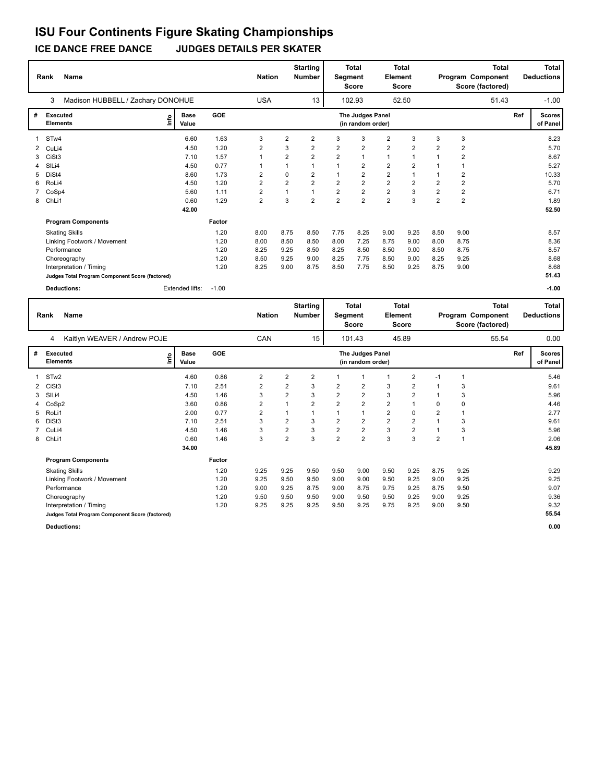#### **ICE DANCE FREE DANCE JUDGES DETAILS PER SKATER ISU Four Continents Figure Skating Championships**

**Rank Name Total Nation Number | Segment Element Program Component Deductions Total Segment Score Total Element Score Total Score (factored) Starting Number** Madison HUBBELL / Zachary DONOHUE USA 13 | 102.93 52.50 **# Executed Elements Base Value GOE Scores The Judges Panel of Panel** 1 6.60 1.63 3 2 2 3 3 2 3 3 3 **Ref**  8.23 3 **(in random order)** 51.43 STw4 **Info** 13 102.93 52.50 51.43 -1.00 2 CuLi4 4.50 1.20 2 3 2 2 2 2 2 2 2 5.70 3 CiSt3 7.10 1.57 1 2 2 2 1 1 1 1 2 8.67 4 SlLi4 4.50 0.77 1 1 1 1 2 2 2 1 1 5.27 5 DiSt4 8.60 1.73 2 0 2 1 2 2 1 1 2 10.33 6 RoLi4 4.50 1.20 2 2 2 2 2 2 2 2 2 5.70 7 CoSp4 5.60 1.11 2 1 1 2 2 2 3 2 2 6.71 8 ChLi1 0.60 1.29 2 3 2 2 2 2 3 2 2 1.89  **42.00 Program Components**  Skating Skills 8.00 8.75 8.50 7.75 8.25 9.00 9.25 8.50 9.00 **Factor** 1.20 8.00 8.75 8.50 7.75 8.25 9.00 9.25 8.50 9.00 8.57  **52.50** Linking Footwork / Movement 1.20 8.00 8.50 8.50 8.00 7.25 8.75 9.00 8.00 8.75 8.36 Performance 1.20 8.25 9.25 8.50 8.25 8.50 8.50 9.00 8.50 8.75 8.57 Choreography 1.20 8.50 9.25 9.00 8.25 7.75 8.50 9.00 8.25 9.25 8.68 Interpretation / Timing 1.20 8.25 9.00 8.75 8.50 7.75 8.50 9.25 8.75 9.00 8.68 **Judges Total Program Component Score (factored) 51.43 Deductions:** Extended lifts: -1.00 **-1.00**

**Rank Name Total Nation Number | Segment Element Program Component Deductions Total Segment Score Total Element Score Total Score (factored) Starting Number** Kaitlyn WEAVER / Andrew POJE CAN 15 | 101.43 45.89 **# Executed Elements Base Value GOE Scores The Judges Panel of Panel** 1 4.60 0.86 2 2 2 1 1 1 2 -1 1 **Ref**  5.46 4 **(in random order)** 55.54 STw2 **Info** 15 101.43 45.89 55.54 0.00 2 CiSt3 7.10 2.51 2 2 3 2 2 3 2 1 3 9.61 3 SlLi4 4.50 1.46 3 2 3 2 2 3 2 1 3 5.96 4 CoSp2 3.60 0.86 2 1 2 2 2 2 1 0 0 4.46 5 RoLi1 2.00 0.77 2 1 1 1 1 2 0 2 1 2.77 6 DiSt3 7.10 2.51 3 2 3 2 2 2 2 1 3 9.61 7 CuLi4 4.50 1.46 3 2 3 2 2 3 2 1 3 5.96 8 ChLi1 0.60 1.46 3 2 3 2 2 3 3 2 1 2.06  **34.00 Program Components**  Skating Skills 9.25 9.25 9.50 9.50 9.00 9.50 9.25 8.75 9.25 **Factor** 1.20 9.25 9.25 9.50 9.50 9.00 9.50 9.25 8.75 9.25 9.29  **45.89** Linking Footwork / Movement 1.20 9.25 9.50 9.50 9.00 9.00 9.50 9.25 9.00 9.25 9.25 Performance 1.20 9.00 9.25 8.75 9.00 8.75 9.75 9.25 8.75 9.50 9.07 Choreography 1.20 9.50 9.50 9.50 9.00 9.50 9.50 9.25 9.00 9.25 9.36 Interpretation / Timing 1.20 9.25 9.25 9.25 9.50 9.25 9.75 9.25 9.00 9.50 9.32 **Judges Total Program Component Score (factored) 55.54**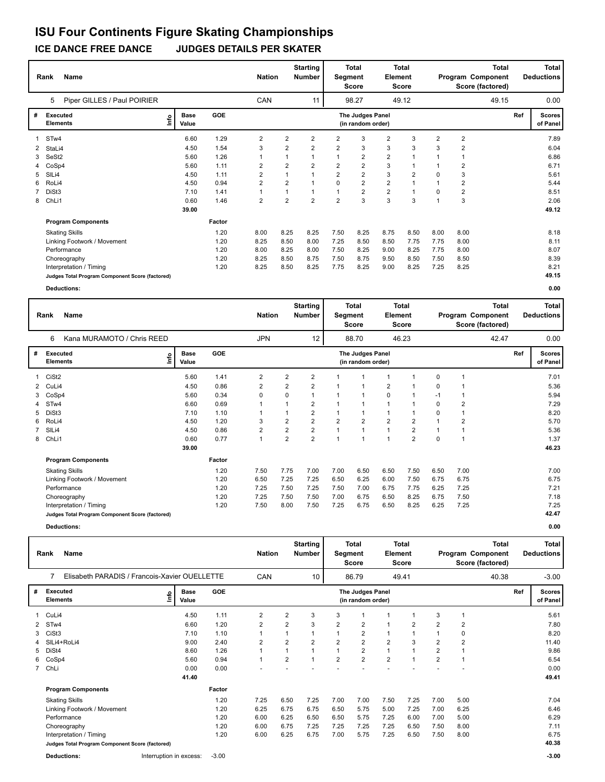**ICE DANCE FREE DANCE JUDGES DETAILS PER SKATER**

|                | Name<br>Rank                                    |                              |        | <b>Nation</b>  |                | <b>Starting</b><br><b>Number</b> |                         | <b>Total</b><br>Segment<br><b>Score</b> | <b>Element</b> | <b>Total</b><br><b>Score</b> |              |                | Total<br>Program Component<br>Score (factored) |     | <b>Total</b><br><b>Deductions</b> |
|----------------|-------------------------------------------------|------------------------------|--------|----------------|----------------|----------------------------------|-------------------------|-----------------------------------------|----------------|------------------------------|--------------|----------------|------------------------------------------------|-----|-----------------------------------|
|                | Piper GILLES / Paul POIRIER<br>5                |                              |        | CAN            |                | 11                               |                         | 98.27                                   |                | 49.12                        |              |                | 49.15                                          |     | 0.00                              |
| #              | Executed<br><b>Elements</b>                     | <b>Base</b><br>١mfo<br>Value | GOE    |                |                |                                  |                         | The Judges Panel<br>(in random order)   |                |                              |              |                |                                                | Ref | <b>Scores</b><br>of Panel         |
|                | 1 STw4                                          | 6.60                         | 1.29   | 2              | $\overline{2}$ | 2                                | 2                       | 3                                       | 2              | 3                            | 2            | 2              |                                                |     | 7.89                              |
| $\overline{2}$ | StaLi4                                          | 4.50                         | 1.54   | 3              | 2              | 2                                | $\overline{\mathbf{c}}$ | 3                                       | 3              | 3                            | 3            | 2              |                                                |     | 6.04                              |
| 3              | SeSt2                                           | 5.60                         | 1.26   |                |                |                                  | 1                       | $\overline{\mathbf{c}}$                 | $\overline{2}$ |                              |              |                |                                                |     | 6.86                              |
|                | CoSp4                                           | 5.60                         | 1.11   | 2              | 2              | 2                                | $\overline{2}$          | $\overline{2}$                          | 3              |                              |              | 2              |                                                |     | 6.71                              |
| 5              | SILi4                                           | 4.50                         | 1.11   | 2              |                |                                  | $\overline{2}$          | $\overline{\mathbf{c}}$                 | 3              | $\overline{2}$               | 0            | 3              |                                                |     | 5.61                              |
| 6              | RoLi4                                           | 4.50                         | 0.94   | $\overline{2}$ | $\overline{2}$ |                                  | 0                       | $\overline{2}$                          | $\overline{2}$ | $\overline{ }$               | $\mathbf{1}$ | $\overline{2}$ |                                                |     | 5.44                              |
|                | DiSt3                                           | 7.10                         | 1.41   | 1              |                |                                  | 1                       | $\overline{2}$                          | 2              | $\overline{1}$               | 0            | 2              |                                                |     | 8.51                              |
| 8              | ChLi1                                           | 0.60                         | 1.46   | $\overline{2}$ | $\overline{2}$ | $\overline{2}$                   | $\overline{2}$          | 3                                       | 3              | 3                            |              | 3              |                                                |     | 2.06                              |
|                |                                                 | 39.00                        |        |                |                |                                  |                         |                                         |                |                              |              |                |                                                |     | 49.12                             |
|                | <b>Program Components</b>                       |                              | Factor |                |                |                                  |                         |                                         |                |                              |              |                |                                                |     |                                   |
|                | <b>Skating Skills</b>                           |                              | 1.20   | 8.00           | 8.25           | 8.25                             | 7.50                    | 8.25                                    | 8.75           | 8.50                         | 8.00         | 8.00           |                                                |     | 8.18                              |
|                | Linking Footwork / Movement                     |                              | 1.20   | 8.25           | 8.50           | 8.00                             | 7.25                    | 8.50                                    | 8.50           | 7.75                         | 7.75         | 8.00           |                                                |     | 8.11                              |
|                | Performance                                     |                              | 1.20   | 8.00           | 8.25           | 8.00                             | 7.50                    | 8.25                                    | 9.00           | 8.25                         | 7.75         | 8.00           |                                                |     | 8.07                              |
|                | Choreography                                    |                              | 1.20   | 8.25           | 8.50           | 8.75                             | 7.50                    | 8.75                                    | 9.50           | 8.50                         | 7.50         | 8.50           |                                                |     | 8.39                              |
|                | Interpretation / Timing                         |                              | 1.20   | 8.25           | 8.50           | 8.25                             | 7.75                    | 8.25                                    | 9.00           | 8.25                         | 7.25         | 8.25           |                                                |     | 8.21                              |
|                | Judges Total Program Component Score (factored) |                              |        |                |                |                                  |                         |                                         |                |                              |              |                |                                                |     | 49.15                             |

|                | Rank                        | <b>Name</b>                                     |                      |        | <b>Nation</b>  |                | <b>Starting</b><br><b>Number</b> | Segment        | <b>Total</b><br><b>Score</b>          | <b>Element</b> | <b>Total</b><br><b>Score</b> |      |                | <b>Total</b><br>Program Component<br>Score (factored) |     | Total<br><b>Deductions</b> |
|----------------|-----------------------------|-------------------------------------------------|----------------------|--------|----------------|----------------|----------------------------------|----------------|---------------------------------------|----------------|------------------------------|------|----------------|-------------------------------------------------------|-----|----------------------------|
|                | 6                           | Kana MURAMOTO / Chris REED                      |                      |        | <b>JPN</b>     |                | 12                               |                | 88.70                                 |                | 46.23                        |      |                | 42.47                                                 |     | 0.00                       |
| #              | Executed<br><b>Elements</b> | ١nfo                                            | <b>Base</b><br>Value | GOE    |                |                |                                  |                | The Judges Panel<br>(in random order) |                |                              |      |                |                                                       | Ref | <b>Scores</b><br>of Panel  |
| $\overline{1}$ | CiSt2                       |                                                 | 5.60                 | 1.41   | $\overline{2}$ | 2              | 2                                |                | 1                                     |                |                              | 0    |                |                                                       |     | 7.01                       |
| 2              | CuLi4                       |                                                 | 4.50                 | 0.86   | $\overline{2}$ | $\overline{2}$ | $\overline{2}$                   |                | $\overline{1}$                        | $\overline{2}$ |                              | 0    |                |                                                       |     | 5.36                       |
| 3              | CoSp4                       |                                                 | 5.60                 | 0.34   | $\Omega$       | 0              |                                  |                | 1                                     | 0              |                              | $-1$ | 1              |                                                       |     | 5.94                       |
| 4              | STw4                        |                                                 | 6.60                 | 0.69   |                | 1              | 2                                |                | 1                                     |                |                              | 0    | 2              |                                                       |     | 7.29                       |
| 5              | DiSt3                       |                                                 | 7.10                 | 1.10   |                | $\mathbf 1$    | 2                                |                | 1                                     |                |                              | 0    | 1              |                                                       |     | 8.20                       |
| 6              | RoLi4                       |                                                 | 4.50                 | 1.20   | 3              | 2              | 2                                | $\overline{2}$ | $\overline{2}$                        | $\overline{2}$ | 2                            |      | $\overline{2}$ |                                                       |     | 5.70                       |
|                | SILi4                       |                                                 | 4.50                 | 0.86   | $\overline{2}$ | 2              | $\overline{2}$                   |                | $\mathbf{1}$                          | 1              | 2                            |      | $\mathbf 1$    |                                                       |     | 5.36                       |
| 8              | ChLi1                       |                                                 | 0.60                 | 0.77   | $\mathbf{1}$   | $\overline{2}$ | $\overline{2}$                   |                | 1                                     | 1              | $\overline{2}$               | 0    | 1              |                                                       |     | 1.37                       |
|                |                             |                                                 | 39.00                |        |                |                |                                  |                |                                       |                |                              |      |                |                                                       |     | 46.23                      |
|                |                             | <b>Program Components</b>                       |                      | Factor |                |                |                                  |                |                                       |                |                              |      |                |                                                       |     |                            |
|                |                             | <b>Skating Skills</b>                           |                      | 1.20   | 7.50           | 7.75           | 7.00                             | 7.00           | 6.50                                  | 6.50           | 7.50                         | 6.50 | 7.00           |                                                       |     | 7.00                       |
|                |                             | Linking Footwork / Movement                     |                      | 1.20   | 6.50           | 7.25           | 7.25                             | 6.50           | 6.25                                  | 6.00           | 7.50                         | 6.75 | 6.75           |                                                       |     | 6.75                       |
|                | Performance                 |                                                 |                      | 1.20   | 7.25           | 7.50           | 7.25                             | 7.50           | 7.00                                  | 6.75           | 7.75                         | 6.25 | 7.25           |                                                       |     | 7.21                       |
|                |                             | Choreography                                    |                      | 1.20   | 7.25           | 7.50           | 7.50                             | 7.00           | 6.75                                  | 6.50           | 8.25                         | 6.75 | 7.50           |                                                       |     | 7.18                       |
|                |                             | Interpretation / Timing                         |                      | 1.20   | 7.50           | 8.00           | 7.50                             | 7.25           | 6.75                                  | 6.50           | 8.25                         | 6.25 | 7.25           |                                                       |     | 7.25                       |
|                |                             | Judges Total Program Component Score (factored) |                      |        |                |                |                                  |                |                                       |                |                              |      |                |                                                       |     | 42.47                      |
|                | <b>Deductions:</b>          |                                                 |                      |        |                |                |                                  |                |                                       |                |                              |      |                |                                                       |     | 0.00                       |

|    | <b>Name</b><br>Rank                             |                         |                      |         | <b>Nation</b>  |                | <b>Starting</b><br><b>Number</b> | Segment        | <b>Total</b><br>Score                 | Element        | <b>Total</b><br>Score |                |                | Total<br>Program Component<br>Score (factored) |     | <b>Total</b><br><b>Deductions</b> |
|----|-------------------------------------------------|-------------------------|----------------------|---------|----------------|----------------|----------------------------------|----------------|---------------------------------------|----------------|-----------------------|----------------|----------------|------------------------------------------------|-----|-----------------------------------|
|    | Elisabeth PARADIS / Francois-Xavier OUELLETTE   |                         |                      |         | CAN            |                | 10                               |                | 86.79                                 |                | 49.41                 |                |                | 40.38                                          |     | $-3.00$                           |
| #  | <b>Executed</b><br><b>Elements</b>              | ١nfo                    | <b>Base</b><br>Value | GOE     |                |                |                                  |                | The Judges Panel<br>(in random order) |                |                       |                |                |                                                | Ref | <b>Scores</b><br>of Panel         |
|    | CuLi4                                           |                         | 4.50                 | 1.11    | $\overline{2}$ | 2              | 3                                | 3              |                                       |                |                       | 3              |                |                                                |     | 5.61                              |
| 2  | STw4                                            |                         | 6.60                 | 1.20    | 2              | $\overline{2}$ | 3                                | $\overline{2}$ | 2                                     |                | 2                     | $\overline{2}$ | $\overline{2}$ |                                                |     | 7.80                              |
| 3  | CiSt3                                           |                         | 7.10                 | 1.10    |                |                |                                  |                | $\overline{2}$                        |                |                       |                | 0              |                                                |     | 8.20                              |
|    | SILi4+RoLi4                                     |                         | 9.00                 | 2.40    | 2              | $\overline{2}$ | $\overline{2}$                   | $\overline{2}$ | $\overline{2}$                        | $\overline{2}$ | 3                     | $\overline{2}$ | $\overline{2}$ |                                                |     | 11.40                             |
| 5  | DiSt4                                           |                         | 8.60                 | 1.26    |                | $\overline{1}$ |                                  | 1              | 2                                     |                |                       | $\overline{2}$ |                |                                                |     | 9.86                              |
| 6. | CoSp4                                           |                         | 5.60                 | 0.94    | $\mathbf{1}$   | $\overline{2}$ |                                  | $\overline{2}$ | $\overline{2}$                        | $\overline{2}$ |                       | $\overline{2}$ |                |                                                |     | 6.54                              |
|    | 7 ChLi                                          |                         | 0.00                 | 0.00    |                |                |                                  |                |                                       |                |                       |                |                |                                                |     | 0.00                              |
|    |                                                 |                         | 41.40                |         |                |                |                                  |                |                                       |                |                       |                |                |                                                |     | 49.41                             |
|    | <b>Program Components</b>                       |                         |                      | Factor  |                |                |                                  |                |                                       |                |                       |                |                |                                                |     |                                   |
|    | <b>Skating Skills</b>                           |                         |                      | 1.20    | 7.25           | 6.50           | 7.25                             | 7.00           | 7.00                                  | 7.50           | 7.25                  | 7.00           | 5.00           |                                                |     | 7.04                              |
|    | Linking Footwork / Movement                     |                         |                      | 1.20    | 6.25           | 6.75           | 6.75                             | 6.50           | 5.75                                  | 5.00           | 7.25                  | 7.00           | 6.25           |                                                |     | 6.46                              |
|    | Performance                                     |                         |                      | 1.20    | 6.00           | 6.25           | 6.50                             | 6.50           | 5.75                                  | 7.25           | 6.00                  | 7.00           | 5.00           |                                                |     | 6.29                              |
|    | Choreography                                    |                         |                      | 1.20    | 6.00           | 6.75           | 7.25                             | 7.25           | 7.25                                  | 7.25           | 6.50                  | 7.50           | 8.00           |                                                |     | 7.11                              |
|    | Interpretation / Timing                         |                         |                      | 1.20    | 6.00           | 6.25           | 6.75                             | 7.00           | 5.75                                  | 7.25           | 6.50                  | 7.50           | 8.00           |                                                |     | 6.75                              |
|    | Judges Total Program Component Score (factored) |                         |                      |         |                |                |                                  |                |                                       |                |                       |                |                |                                                |     | 40.38                             |
|    | <b>Deductions:</b>                              | Interruption in excess: |                      | $-3.00$ |                |                |                                  |                |                                       |                |                       |                |                |                                                |     | $-3.00$                           |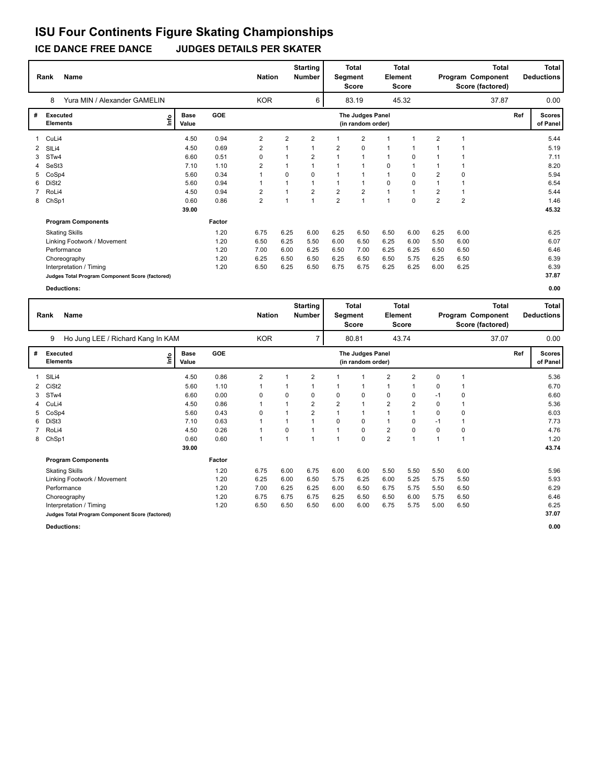**ICE DANCE FREE DANCE JUDGES DETAILS PER SKATER**

|              | Name<br>Rank                                    |                      |            | <b>Nation</b>  |                | <b>Starting</b><br><b>Number</b> | Segment        | <b>Total</b><br><b>Score</b>          | <b>Element</b> | <b>Total</b><br><b>Score</b> |                |                | Total<br>Program Component<br>Score (factored) |     | <b>Total</b><br><b>Deductions</b> |
|--------------|-------------------------------------------------|----------------------|------------|----------------|----------------|----------------------------------|----------------|---------------------------------------|----------------|------------------------------|----------------|----------------|------------------------------------------------|-----|-----------------------------------|
|              | Yura MIN / Alexander GAMELIN<br>8               |                      |            | <b>KOR</b>     |                | 6                                |                | 83.19                                 |                | 45.32                        |                |                | 37.87                                          |     | 0.00                              |
| #            | <b>Executed</b><br>١m٥<br><b>Elements</b>       | <b>Base</b><br>Value | <b>GOE</b> |                |                |                                  |                | The Judges Panel<br>(in random order) |                |                              |                |                |                                                | Ref | <b>Scores</b><br>of Panel         |
| $\mathbf{1}$ | CuLi4                                           | 4.50                 | 0.94       | $\overline{2}$ | $\overline{2}$ | $\overline{2}$                   |                | 2                                     |                |                              | 2              |                |                                                |     | 5.44                              |
|              | 2 SILi4                                         | 4.50                 | 0.69       | $\overline{2}$ |                | 1                                | 2              | 0                                     | -1             |                              |                |                |                                                |     | 5.19                              |
| 3            | STw4                                            | 6.60                 | 0.51       | 0              |                | $\overline{2}$                   |                | 1                                     | $\mathbf{1}$   | 0                            |                |                |                                                |     | 7.11                              |
| 4            | SeSt <sub>3</sub>                               | 7.10                 | 1.10       | 2              | 1              | 1                                |                | 1                                     | $\Omega$       | $\overline{1}$               |                |                |                                                |     | 8.20                              |
| 5.           | CoSp4                                           | 5.60                 | 0.34       | 1              | $\Omega$       | 0                                |                | $\mathbf 1$                           | $\mathbf{1}$   | 0                            | 2              | 0              |                                                |     | 5.94                              |
| 6.           | DiSt <sub>2</sub>                               | 5.60                 | 0.94       | -1             | 1              | $\mathbf{1}$                     |                | $\mathbf{1}$                          | $\Omega$       | $\Omega$                     | $\mathbf{1}$   | $\overline{1}$ |                                                |     | 6.54                              |
|              | RoLi4                                           | 4.50                 | 0.94       | $\overline{2}$ | 1              | $\overline{2}$                   | $\overline{2}$ | $\overline{2}$                        | $\mathbf{1}$   | $\mathbf{1}$                 | 2              | $\mathbf 1$    |                                                |     | 5.44                              |
| 8            | ChSp1                                           | 0.60                 | 0.86       | $\overline{2}$ | $\mathbf{1}$   | $\overline{1}$                   | $\overline{2}$ | $\overline{1}$                        | $\mathbf{1}$   | $\mathbf 0$                  | $\overline{2}$ | $\overline{2}$ |                                                |     | 1.46                              |
|              |                                                 | 39.00                |            |                |                |                                  |                |                                       |                |                              |                |                |                                                |     | 45.32                             |
|              | <b>Program Components</b>                       |                      | Factor     |                |                |                                  |                |                                       |                |                              |                |                |                                                |     |                                   |
|              | <b>Skating Skills</b>                           |                      | 1.20       | 6.75           | 6.25           | 6.00                             | 6.25           | 6.50                                  | 6.50           | 6.00                         | 6.25           | 6.00           |                                                |     | 6.25                              |
|              | Linking Footwork / Movement                     |                      | 1.20       | 6.50           | 6.25           | 5.50                             | 6.00           | 6.50                                  | 6.25           | 6.00                         | 5.50           | 6.00           |                                                |     | 6.07                              |
|              | Performance                                     |                      | 1.20       | 7.00           | 6.00           | 6.25                             | 6.50           | 7.00                                  | 6.25           | 6.25                         | 6.50           | 6.50           |                                                |     | 6.46                              |
|              | Choreography                                    |                      | 1.20       | 6.25           | 6.50           | 6.50                             | 6.25           | 6.50                                  | 6.50           | 5.75                         | 6.25           | 6.50           |                                                |     | 6.39                              |
|              | Interpretation / Timing                         |                      | 1.20       | 6.50           | 6.25           | 6.50                             | 6.75           | 6.75                                  | 6.25           | 6.25                         | 6.00           | 6.25           |                                                |     | 6.39                              |
|              | Judges Total Program Component Score (factored) |                      |            |                |                |                                  |                |                                       |                |                              |                |                |                                                |     | 37.87                             |

|   | <b>Name</b><br>Rank                             |      |                      |            | <b>Nation</b>  |                         | <b>Starting</b><br><b>Number</b> |                         | Total<br>Segment<br><b>Score</b>      | <b>Element</b>          | <b>Total</b><br><b>Score</b> |      |      | <b>Total</b><br>Program Component<br>Score (factored) |     | Total<br><b>Deductions</b> |
|---|-------------------------------------------------|------|----------------------|------------|----------------|-------------------------|----------------------------------|-------------------------|---------------------------------------|-------------------------|------------------------------|------|------|-------------------------------------------------------|-----|----------------------------|
|   | Ho Jung LEE / Richard Kang In KAM<br>9          |      |                      |            | <b>KOR</b>     |                         | $\overline{7}$                   |                         | 80.81                                 |                         | 43.74                        |      |      | 37.07                                                 |     | 0.00                       |
| # | Executed<br><b>Elements</b>                     | Info | <b>Base</b><br>Value | <b>GOE</b> |                |                         |                                  |                         | The Judges Panel<br>(in random order) |                         |                              |      |      |                                                       | Ref | <b>Scores</b><br>of Panel  |
| 1 | SIL <sub>i</sub> 4                              |      | 4.50                 | 0.86       | $\overline{2}$ |                         | 2                                |                         | 1                                     | 2                       | 2                            | 0    | 1    |                                                       |     | 5.36                       |
| 2 | CiSt <sub>2</sub>                               |      | 5.60                 | 1.10       |                |                         |                                  |                         | 1                                     | 1                       |                              | 0    |      |                                                       |     | 6.70                       |
| 3 | STw4                                            |      | 6.60                 | 0.00       | 0              | 0                       | 0                                | 0                       | 0                                     | 0                       | 0                            | $-1$ | 0    |                                                       |     | 6.60                       |
| 4 | CuLi4                                           |      | 4.50                 | 0.86       |                |                         | $\overline{2}$                   | $\overline{\mathbf{c}}$ | 1                                     | $\overline{\mathbf{c}}$ | 2                            | 0    |      |                                                       |     | 5.36                       |
| 5 | CoSp4                                           |      | 5.60                 | 0.43       | 0              |                         | 2                                | 1                       | 1                                     |                         |                              | 0    | 0    |                                                       |     | 6.03                       |
| 6 | DiSt3                                           |      | 7.10                 | 0.63       |                |                         |                                  | 0                       | 0                                     | 1                       | 0                            | $-1$ | 1    |                                                       |     | 7.73                       |
| 7 | RoLi4                                           |      | 4.50                 | 0.26       |                | 0                       |                                  | 1                       | 0                                     | $\overline{\mathbf{c}}$ | 0                            | 0    | 0    |                                                       |     | 4.76                       |
| 8 | ChSp1                                           |      | 0.60                 | 0.60       |                | $\overline{\mathbf{A}}$ |                                  | 4                       | 0                                     | $\overline{2}$          | $\overline{ }$               | 1    | 1    |                                                       |     | 1.20                       |
|   |                                                 |      | 39.00                |            |                |                         |                                  |                         |                                       |                         |                              |      |      |                                                       |     | 43.74                      |
|   | <b>Program Components</b>                       |      |                      | Factor     |                |                         |                                  |                         |                                       |                         |                              |      |      |                                                       |     |                            |
|   | <b>Skating Skills</b>                           |      |                      | 1.20       | 6.75           | 6.00                    | 6.75                             | 6.00                    | 6.00                                  | 5.50                    | 5.50                         | 5.50 | 6.00 |                                                       |     | 5.96                       |
|   | Linking Footwork / Movement                     |      |                      | 1.20       | 6.25           | 6.00                    | 6.50                             | 5.75                    | 6.25                                  | 6.00                    | 5.25                         | 5.75 | 5.50 |                                                       |     | 5.93                       |
|   | Performance                                     |      |                      | 1.20       | 7.00           | 6.25                    | 6.25                             | 6.00                    | 6.50                                  | 6.75                    | 5.75                         | 5.50 | 6.50 |                                                       |     | 6.29                       |
|   | Choreography                                    |      |                      | 1.20       | 6.75           | 6.75                    | 6.75                             | 6.25                    | 6.50                                  | 6.50                    | 6.00                         | 5.75 | 6.50 |                                                       |     | 6.46                       |
|   | Interpretation / Timing                         |      |                      | 1.20       | 6.50           | 6.50                    | 6.50                             | 6.00                    | 6.00                                  | 6.75                    | 5.75                         | 5.00 | 6.50 |                                                       |     | 6.25                       |
|   | Judges Total Program Component Score (factored) |      |                      |            |                |                         |                                  |                         |                                       |                         |                              |      |      |                                                       |     | 37.07                      |
|   | <b>Deductions:</b>                              |      |                      |            |                |                         |                                  |                         |                                       |                         |                              |      |      |                                                       |     | 0.00                       |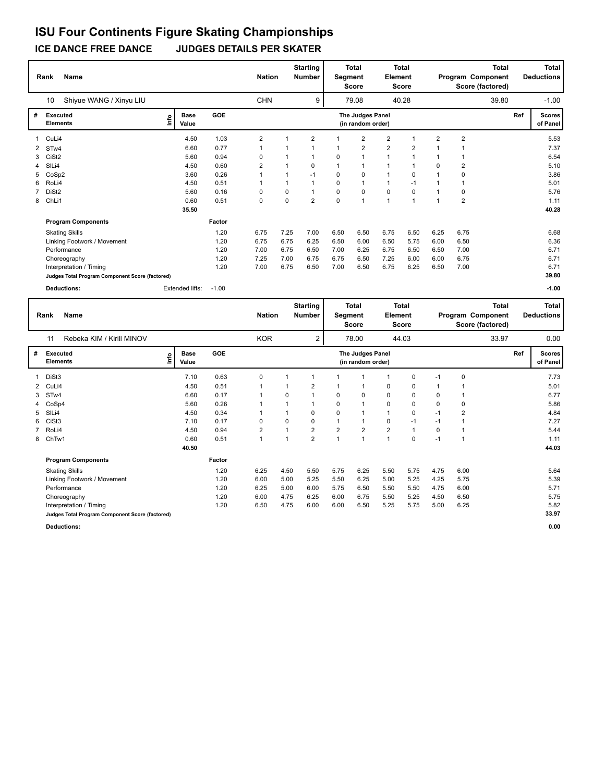**ICE DANCE FREE DANCE JUDGES DETAILS PER SKATER**

|   | Rank                        | <b>Name</b>                                     |    |                      |            | <b>Nation</b>  |             | <b>Starting</b><br><b>Number</b> | Segment  | <b>Total</b><br><b>Score</b>          | <b>Element</b> | <b>Total</b><br><b>Score</b> |                | Program Component | <b>Total</b><br>Score (factored) |     | <b>Total</b><br><b>Deductions</b> |
|---|-----------------------------|-------------------------------------------------|----|----------------------|------------|----------------|-------------|----------------------------------|----------|---------------------------------------|----------------|------------------------------|----------------|-------------------|----------------------------------|-----|-----------------------------------|
|   | 10                          | Shiyue WANG / Xinyu LIU                         |    |                      |            | <b>CHN</b>     |             | 9                                |          | 79.08                                 |                | 40.28                        |                |                   | 39.80                            |     | $-1.00$                           |
| # | Executed<br><b>Elements</b> |                                                 | ١m | <b>Base</b><br>Value | <b>GOE</b> |                |             |                                  |          | The Judges Panel<br>(in random order) |                |                              |                |                   |                                  | Ref | <b>Scores</b><br>of Panel         |
|   | 1 CuLi4                     |                                                 |    | 4.50                 | 1.03       | $\overline{2}$ |             | $\overline{2}$                   |          | $\overline{2}$                        | $\overline{2}$ |                              | $\overline{2}$ | $\overline{2}$    |                                  |     | 5.53                              |
|   | 2 STw4                      |                                                 |    | 6.60                 | 0.77       | 1              |             |                                  |          | 2                                     | $\overline{2}$ | $\overline{2}$               |                |                   |                                  |     | 7.37                              |
| 3 | CiSt <sub>2</sub>           |                                                 |    | 5.60                 | 0.94       | 0              |             | 1                                | $\Omega$ |                                       | $\mathbf{1}$   |                              |                |                   |                                  |     | 6.54                              |
| 4 | SILi4                       |                                                 |    | 4.50                 | 0.60       | $\overline{2}$ |             | 0                                |          | $\mathbf{1}$                          | 1              |                              | $\Omega$       | $\overline{2}$    |                                  |     | 5.10                              |
| 5 | CoSp2                       |                                                 |    | 3.60                 | 0.26       |                | 1           | $-1$                             | 0        | 0                                     | $\mathbf{1}$   | $\mathbf 0$                  |                | 0                 |                                  |     | 3.86                              |
| 6 | RoLi4                       |                                                 |    | 4.50                 | 0.51       | 1              | $\mathbf 1$ | $\mathbf{1}$                     | $\Omega$ | 1                                     | $\mathbf{1}$   | $-1$                         |                | 1                 |                                  |     | 5.01                              |
| 7 | DiSt <sub>2</sub>           |                                                 |    | 5.60                 | 0.16       | 0              | 0           | 1                                | 0        | 0                                     | 0              | $\mathbf 0$                  |                | 0                 |                                  |     | 5.76                              |
| 8 | ChLi1                       |                                                 |    | 0.60                 | 0.51       | 0              | $\Omega$    | $\overline{2}$                   | $\Omega$ | $\overline{1}$                        | $\mathbf{1}$   | $\overline{1}$               |                | $\overline{2}$    |                                  |     | 1.11                              |
|   |                             |                                                 |    | 35.50                |            |                |             |                                  |          |                                       |                |                              |                |                   |                                  |     | 40.28                             |
|   |                             | <b>Program Components</b>                       |    |                      | Factor     |                |             |                                  |          |                                       |                |                              |                |                   |                                  |     |                                   |
|   |                             | <b>Skating Skills</b>                           |    |                      | 1.20       | 6.75           | 7.25        | 7.00                             | 6.50     | 6.50                                  | 6.75           | 6.50                         | 6.25           | 6.75              |                                  |     | 6.68                              |
|   |                             | Linking Footwork / Movement                     |    |                      | 1.20       | 6.75           | 6.75        | 6.25                             | 6.50     | 6.00                                  | 6.50           | 5.75                         | 6.00           | 6.50              |                                  |     | 6.36                              |
|   |                             | Performance                                     |    |                      | 1.20       | 7.00           | 6.75        | 6.50                             | 7.00     | 6.25                                  | 6.75           | 6.50                         | 6.50           | 7.00              |                                  |     | 6.71                              |
|   |                             | Choreography                                    |    |                      | 1.20       | 7.25           | 7.00        | 6.75                             | 6.75     | 6.50                                  | 7.25           | 6.00                         | 6.00           | 6.75              |                                  |     | 6.71                              |
|   |                             | Interpretation / Timing                         |    |                      | 1.20       | 7.00           | 6.75        | 6.50                             | 7.00     | 6.50                                  | 6.75           | 6.25                         | 6.50           | 7.00              |                                  |     | 6.71                              |
|   |                             | Judges Total Program Component Score (factored) |    |                      |            |                |             |                                  |          |                                       |                |                              |                |                   |                                  |     | 39.80                             |
|   |                             | <b>Deductions:</b>                              |    | Extended lifts:      | $-1.00$    |                |             |                                  |          |                                       |                |                              |                |                   |                                  |     | $-1.00$                           |

|   | Name<br>Rank                                    |      |                      |            | <b>Nation</b>           |      | <b>Starting</b><br><b>Number</b> |                | <b>Total</b><br>Segment<br>Score      | <b>Element</b> | Total<br>Score |          |                | <b>Total</b><br>Program Component<br>Score (factored) |     | Total<br><b>Deductions</b> |
|---|-------------------------------------------------|------|----------------------|------------|-------------------------|------|----------------------------------|----------------|---------------------------------------|----------------|----------------|----------|----------------|-------------------------------------------------------|-----|----------------------------|
|   | Rebeka KIM / Kirill MINOV<br>11                 |      |                      |            | <b>KOR</b>              |      | 2                                |                | 78.00                                 |                | 44.03          |          |                | 33.97                                                 |     | 0.00                       |
| # | <b>Executed</b><br><b>Elements</b>              | Info | <b>Base</b><br>Value | <b>GOE</b> |                         |      |                                  |                | The Judges Panel<br>(in random order) |                |                |          |                |                                                       | Ref | <b>Scores</b><br>of Panel  |
|   | DiSt3                                           |      | 7.10                 | 0.63       | 0                       |      |                                  |                |                                       |                | 0              | $-1$     | 0              |                                                       |     | 7.73                       |
| 2 | CuLi4                                           |      | 4.50                 | 0.51       | 1                       |      | $\overline{2}$                   |                |                                       | 0              | 0              |          |                |                                                       |     | 5.01                       |
| 3 | STw4                                            |      | 6.60                 | 0.17       | 1                       | 0    |                                  | $\Omega$       | 0                                     | $\mathbf 0$    | 0              | 0        |                |                                                       |     | 6.77                       |
|   | CoSp4                                           |      | 5.60                 | 0.26       | 1                       |      | $\mathbf 1$                      | $\Omega$       | $\overline{1}$                        | $\mathbf 0$    | 0              | $\Omega$ | 0              |                                                       |     | 5.86                       |
| 5 | SILi4                                           |      | 4.50                 | 0.34       | 1                       |      | 0                                | $\Omega$       |                                       | $\mathbf{1}$   | 0              | $-1$     | $\overline{2}$ |                                                       |     | 4.84                       |
| 6 | CiSt <sub>3</sub>                               |      | 7.10                 | 0.17       | 0                       | 0    | 0                                | 1              |                                       | $\mathbf 0$    | $-1$           | $-1$     | 1              |                                                       |     | 7.27                       |
|   | RoLi4                                           |      | 4.50                 | 0.94       | $\overline{\mathbf{c}}$ |      | $\overline{2}$                   | $\overline{2}$ | $\overline{2}$                        | $\overline{2}$ | $\mathbf{1}$   | $\Omega$ | 1              |                                                       |     | 5.44                       |
| 8 | ChTw1                                           |      | 0.60                 | 0.51       | $\mathbf{1}$            |      | $\overline{2}$                   | $\overline{1}$ | $\overline{1}$                        | 1              | 0              | $-1$     | 1              |                                                       |     | 1.11                       |
|   |                                                 |      | 40.50                |            |                         |      |                                  |                |                                       |                |                |          |                |                                                       |     | 44.03                      |
|   | <b>Program Components</b>                       |      |                      | Factor     |                         |      |                                  |                |                                       |                |                |          |                |                                                       |     |                            |
|   | <b>Skating Skills</b>                           |      |                      | 1.20       | 6.25                    | 4.50 | 5.50                             | 5.75           | 6.25                                  | 5.50           | 5.75           | 4.75     | 6.00           |                                                       |     | 5.64                       |
|   | Linking Footwork / Movement                     |      |                      | 1.20       | 6.00                    | 5.00 | 5.25                             | 5.50           | 6.25                                  | 5.00           | 5.25           | 4.25     | 5.75           |                                                       |     | 5.39                       |
|   | Performance                                     |      |                      | 1.20       | 6.25                    | 5.00 | 6.00                             | 5.75           | 6.50                                  | 5.50           | 5.50           | 4.75     | 6.00           |                                                       |     | 5.71                       |
|   | Choreography                                    |      |                      | 1.20       | 6.00                    | 4.75 | 6.25                             | 6.00           | 6.75                                  | 5.50           | 5.25           | 4.50     | 6.50           |                                                       |     | 5.75                       |
|   | Interpretation / Timing                         |      |                      | 1.20       | 6.50                    | 4.75 | 6.00                             | 6.00           | 6.50                                  | 5.25           | 5.75           | 5.00     | 6.25           |                                                       |     | 5.82                       |
|   | Judges Total Program Component Score (factored) |      |                      |            |                         |      |                                  |                |                                       |                |                |          |                |                                                       |     | 33.97                      |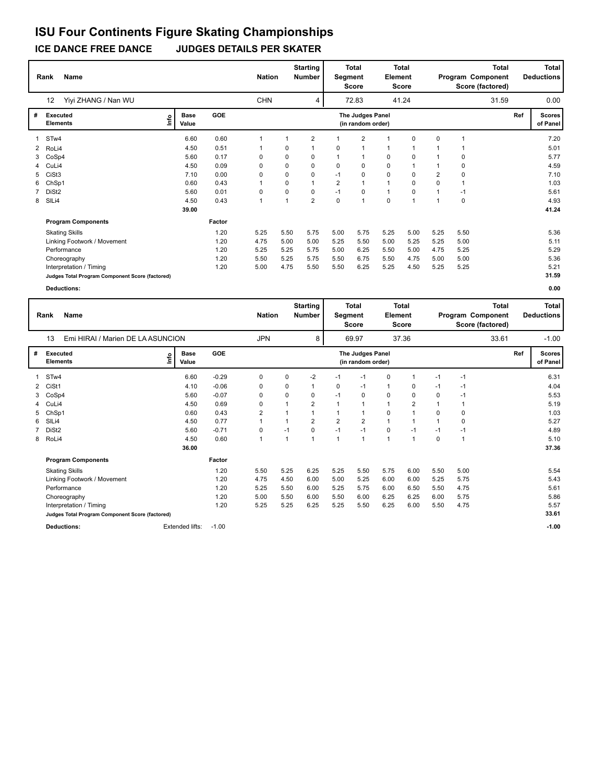**ICE DANCE FREE DANCE JUDGES DETAILS PER SKATER**

|                | <b>Name</b><br>Rank                             |                      |            | <b>Nation</b> |      | <b>Starting</b><br><b>Number</b> | Segment        | <b>Total</b><br><b>Score</b>          | Element      | <b>Total</b><br><b>Score</b> |              |             | Total<br>Program Component<br>Score (factored) |     | <b>Total</b><br><b>Deductions</b> |
|----------------|-------------------------------------------------|----------------------|------------|---------------|------|----------------------------------|----------------|---------------------------------------|--------------|------------------------------|--------------|-------------|------------------------------------------------|-----|-----------------------------------|
|                | 12<br>Yiyi ZHANG / Nan WU                       |                      |            | <b>CHN</b>    |      | 4                                |                | 72.83                                 |              | 41.24                        |              |             | 31.59                                          |     | 0.00                              |
| #              | Executed<br>١m<br><b>Elements</b>               | <b>Base</b><br>Value | <b>GOE</b> |               |      |                                  |                | The Judges Panel<br>(in random order) |              |                              |              |             |                                                | Ref | <b>Scores</b><br>of Panel         |
|                | 1 STw4                                          | 6.60                 | 0.60       | 1             |      | $\overline{2}$                   | 1              | $\overline{2}$                        |              | 0                            | 0            |             |                                                |     | 7.20                              |
| $\overline{2}$ | RoLi4                                           | 4.50                 | 0.51       |               | 0    |                                  | 0              | 1                                     |              |                              |              |             |                                                |     | 5.01                              |
| 3              | CoSp4                                           | 5.60                 | 0.17       | 0             | 0    | 0                                | 1              | 1                                     | 0            | 0                            |              | 0           |                                                |     | 5.77                              |
|                | 4 CuLi4                                         | 4.50                 | 0.09       | $\Omega$      | 0    | $\Omega$                         | 0              | 0                                     | 0            | $\overline{ }$               |              | $\mathbf 0$ |                                                |     | 4.59                              |
| 5              | CiSt3                                           | 7.10                 | 0.00       | 0             | 0    | 0                                | $-1$           | 0                                     | 0            | 0                            | 2            | $\mathbf 0$ |                                                |     | 7.10                              |
| 6.             | ChSp1                                           | 0.60                 | 0.43       | 1             | 0    | 1                                | $\overline{2}$ | $\mathbf{1}$                          | $\mathbf{1}$ | $\Omega$                     | $\Omega$     | 1           |                                                |     | 1.03                              |
|                | DiSt <sub>2</sub>                               | 5.60                 | 0.01       | 0             | 0    | 0                                | $-1$           | $\mathbf 0$                           | $\mathbf{1}$ | $\Omega$                     |              | $-1$        |                                                |     | 5.61                              |
| 8              | SILi4                                           | 4.50                 | 0.43       | 1             |      | $\overline{2}$                   | $\Omega$       | $\mathbf{1}$                          | $\mathbf 0$  | $\overline{1}$               | $\mathbf{1}$ | $\mathbf 0$ |                                                |     | 4.93                              |
|                |                                                 | 39.00                |            |               |      |                                  |                |                                       |              |                              |              |             |                                                |     | 41.24                             |
|                | <b>Program Components</b>                       |                      | Factor     |               |      |                                  |                |                                       |              |                              |              |             |                                                |     |                                   |
|                | <b>Skating Skills</b>                           |                      | 1.20       | 5.25          | 5.50 | 5.75                             | 5.00           | 5.75                                  | 5.25         | 5.00                         | 5.25         | 5.50        |                                                |     | 5.36                              |
|                | Linking Footwork / Movement                     |                      | 1.20       | 4.75          | 5.00 | 5.00                             | 5.25           | 5.50                                  | 5.00         | 5.25                         | 5.25         | 5.00        |                                                |     | 5.11                              |
|                | Performance                                     |                      | 1.20       | 5.25          | 5.25 | 5.75                             | 5.00           | 6.25                                  | 5.50         | 5.00                         | 4.75         | 5.25        |                                                |     | 5.29                              |
|                | Choreography                                    |                      | 1.20       | 5.50          | 5.25 | 5.75                             | 5.50           | 6.75                                  | 5.50         | 4.75                         | 5.00         | 5.00        |                                                |     | 5.36                              |
|                | Interpretation / Timing                         |                      | 1.20       | 5.00          | 4.75 | 5.50                             | 5.50           | 6.25                                  | 5.25         | 4.50                         | 5.25         | 5.25        |                                                |     | 5.21                              |
|                | Judges Total Program Component Score (factored) |                      |            |               |      |                                  |                |                                       |              |                              |              |             |                                                |     | 31.59                             |

|                | Name<br>Rank                                    |      |                      |         | <b>Nation</b> |                | <b>Starting</b><br><b>Number</b> | Segment        | <b>Total</b><br><b>Score</b>          | <b>Element</b> | <b>Total</b><br><b>Score</b> |      |              | <b>Total</b><br>Program Component<br>Score (factored) |     | Total<br><b>Deductions</b> |
|----------------|-------------------------------------------------|------|----------------------|---------|---------------|----------------|----------------------------------|----------------|---------------------------------------|----------------|------------------------------|------|--------------|-------------------------------------------------------|-----|----------------------------|
|                | Emi HIRAI / Marien DE LA ASUNCION<br>13         |      |                      |         | <b>JPN</b>    |                | 8                                |                | 69.97                                 |                | 37.36                        |      |              | 33.61                                                 |     | $-1.00$                    |
| #              | Executed<br><b>Elements</b>                     | ١nfo | <b>Base</b><br>Value | GOE     |               |                |                                  |                | The Judges Panel<br>(in random order) |                |                              |      |              |                                                       | Ref | <b>Scores</b><br>of Panel  |
|                | STw4                                            |      | 6.60                 | $-0.29$ | 0             | $\Omega$       | $-2$                             | $-1$           | $-1$                                  | 0              |                              | $-1$ | $-1$         |                                                       |     | 6.31                       |
| $\overline{2}$ | CiSt1                                           |      | 4.10                 | $-0.06$ | 0             | 0              |                                  | 0              | $-1$                                  | 1              | 0                            | $-1$ | $-1$         |                                                       |     | 4.04                       |
| 3              | CoSp4                                           |      | 5.60                 | $-0.07$ | 0             | 0              | 0                                | $-1$           | 0                                     | 0              | 0                            | 0    | $-1$         |                                                       |     | 5.53                       |
| 4              | CuLi4                                           |      | 4.50                 | 0.69    | 0             | 1              | $\overline{2}$                   |                | 1                                     | $\mathbf{1}$   | $\overline{2}$               |      |              |                                                       |     | 5.19                       |
| 5              | ChSp1                                           |      | 0.60                 | 0.43    | 2             | 1              |                                  |                | 1                                     | 0              |                              | 0    | 0            |                                                       |     | 1.03                       |
| 6              | SIL <sub>i4</sub>                               |      | 4.50                 | 0.77    | $\mathbf{1}$  | 1              | $\overline{2}$                   | $\overline{2}$ | $\overline{\mathbf{c}}$               | $\mathbf{1}$   |                              | 1    | 0            |                                                       |     | 5.27                       |
| 7              | DiSt <sub>2</sub>                               |      | 5.60                 | $-0.71$ | 0             | $-1$           | 0                                | $-1$           | $-1$                                  | 0              | $-1$                         | $-1$ | $-1$         |                                                       |     | 4.89                       |
|                | 8 RoLi4                                         |      | 4.50                 | 0.60    | $\mathbf 1$   | $\overline{1}$ | 1                                |                | 1                                     | $\mathbf{1}$   | 1                            | 0    | $\mathbf{1}$ |                                                       |     | 5.10                       |
|                |                                                 |      | 36.00                |         |               |                |                                  |                |                                       |                |                              |      |              |                                                       |     | 37.36                      |
|                | <b>Program Components</b>                       |      |                      | Factor  |               |                |                                  |                |                                       |                |                              |      |              |                                                       |     |                            |
|                | <b>Skating Skills</b>                           |      |                      | 1.20    | 5.50          | 5.25           | 6.25                             | 5.25           | 5.50                                  | 5.75           | 6.00                         | 5.50 | 5.00         |                                                       |     | 5.54                       |
|                | Linking Footwork / Movement                     |      |                      | 1.20    | 4.75          | 4.50           | 6.00                             | 5.00           | 5.25                                  | 6.00           | 6.00                         | 5.25 | 5.75         |                                                       |     | 5.43                       |
|                | Performance                                     |      |                      | 1.20    | 5.25          | 5.50           | 6.00                             | 5.25           | 5.75                                  | 6.00           | 6.50                         | 5.50 | 4.75         |                                                       |     | 5.61                       |
|                | Choreography                                    |      |                      | 1.20    | 5.00          | 5.50           | 6.00                             | 5.50           | 6.00                                  | 6.25           | 6.25                         | 6.00 | 5.75         |                                                       |     | 5.86                       |
|                | Interpretation / Timing                         |      |                      | 1.20    | 5.25          | 5.25           | 6.25                             | 5.25           | 5.50                                  | 6.25           | 6.00                         | 5.50 | 4.75         |                                                       |     | 5.57                       |
|                | Judges Total Program Component Score (factored) |      |                      |         |               |                |                                  |                |                                       |                |                              |      |              |                                                       |     | 33.61                      |
|                | <b>Deductions:</b>                              |      | Extended lifts:      | $-1.00$ |               |                |                                  |                |                                       |                |                              |      |              |                                                       |     | $-1.00$                    |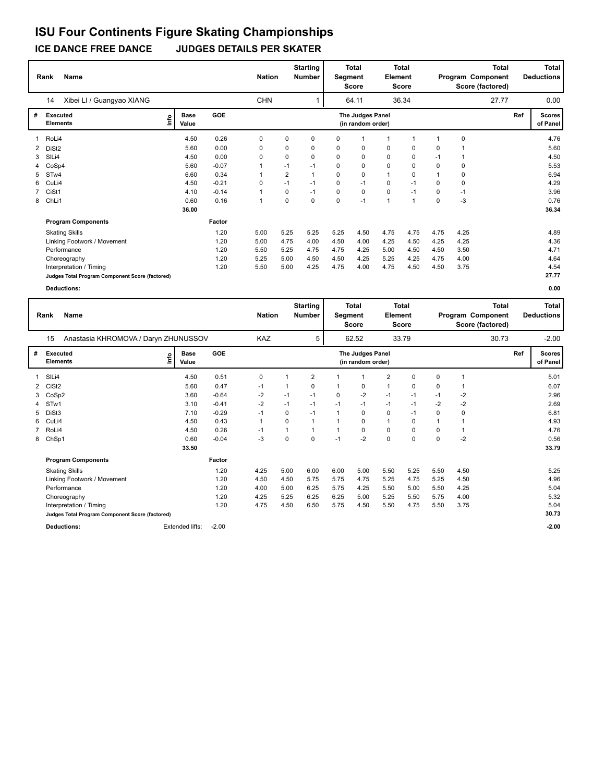**ICE DANCE FREE DANCE JUDGES DETAILS PER SKATER**

|   | Name<br>Rank                                    |    |                      |            | <b>Nation</b> |          | <b>Starting</b><br><b>Number</b> |      | <b>Total</b><br>Segment<br>Score      | Element      | <b>Total</b><br>Score |          |      | <b>Total</b><br>Program Component<br>Score (factored) |     | <b>Total</b><br><b>Deductions</b> |
|---|-------------------------------------------------|----|----------------------|------------|---------------|----------|----------------------------------|------|---------------------------------------|--------------|-----------------------|----------|------|-------------------------------------------------------|-----|-----------------------------------|
|   | Xibei LI / Guangyao XIANG<br>14                 |    |                      |            | <b>CHN</b>    |          |                                  |      | 64.11                                 |              | 36.34                 |          |      | 27.77                                                 |     | 0.00                              |
| # | <b>Executed</b><br><b>Elements</b>              | ١Ě | <b>Base</b><br>Value | <b>GOE</b> |               |          |                                  |      | The Judges Panel<br>(in random order) |              |                       |          |      |                                                       | Ref | <b>Scores</b><br>of Panel         |
|   | RoLi4                                           |    | 4.50                 | 0.26       | 0             | 0        | 0                                | 0    |                                       |              |                       |          | 0    |                                                       |     | 4.76                              |
| 2 | DiSt <sub>2</sub>                               |    | 5.60                 | 0.00       | 0             | 0        | 0                                | 0    | 0                                     | 0            | 0                     | 0        |      |                                                       |     | 5.60                              |
| 3 | SIL <sub>i4</sub>                               |    | 4.50                 | 0.00       | $\Omega$      | 0        | 0                                | 0    | 0                                     | 0            | 0                     | $-1$     |      |                                                       |     | 4.50                              |
|   | CoSp4                                           |    | 5.60                 | $-0.07$    |               | $-1$     | $-1$                             | 0    | 0                                     | 0            | $\Omega$              | $\Omega$ | 0    |                                                       |     | 5.53                              |
| 5 | STw4                                            |    | 6.60                 | 0.34       |               | 2        |                                  | 0    | 0                                     |              | $\Omega$              |          | 0    |                                                       |     | 6.94                              |
| 6 | CuLi4                                           |    | 4.50                 | $-0.21$    | $\mathbf 0$   | $-1$     | $-1$                             | 0    | $-1$                                  | 0            | $-1$                  | $\Omega$ | 0    |                                                       |     | 4.29                              |
|   | CiSt1                                           |    | 4.10                 | $-0.14$    |               | 0        | $-1$                             | 0    | 0                                     | 0            | $-1$                  | 0        | $-1$ |                                                       |     | 3.96                              |
| 8 | ChLi1                                           |    | 0.60                 | 0.16       |               | $\Omega$ | 0                                | 0    | $-1$                                  | $\mathbf{1}$ | -1                    | $\Omega$ | $-3$ |                                                       |     | 0.76                              |
|   |                                                 |    | 36.00                |            |               |          |                                  |      |                                       |              |                       |          |      |                                                       |     | 36.34                             |
|   | <b>Program Components</b>                       |    |                      | Factor     |               |          |                                  |      |                                       |              |                       |          |      |                                                       |     |                                   |
|   | <b>Skating Skills</b>                           |    |                      | 1.20       | 5.00          | 5.25     | 5.25                             | 5.25 | 4.50                                  | 4.75         | 4.75                  | 4.75     | 4.25 |                                                       |     | 4.89                              |
|   | Linking Footwork / Movement                     |    |                      | 1.20       | 5.00          | 4.75     | 4.00                             | 4.50 | 4.00                                  | 4.25         | 4.50                  | 4.25     | 4.25 |                                                       |     | 4.36                              |
|   | Performance                                     |    |                      | 1.20       | 5.50          | 5.25     | 4.75                             | 4.75 | 4.25                                  | 5.00         | 4.50                  | 4.50     | 3.50 |                                                       |     | 4.71                              |
|   | Choreography                                    |    |                      | 1.20       | 5.25          | 5.00     | 4.50                             | 4.50 | 4.25                                  | 5.25         | 4.25                  | 4.75     | 4.00 |                                                       |     | 4.64                              |
|   | Interpretation / Timing                         |    |                      | 1.20       | 5.50          | 5.00     | 4.25                             | 4.75 | 4.00                                  | 4.75         | 4.50                  | 4.50     | 3.75 |                                                       |     | 4.54                              |
|   | Judges Total Program Component Score (factored) |    |                      |            |               |          |                                  |      |                                       |              |                       |          |      |                                                       |     | 27.77                             |

|                                                 | Rank                                       | <b>Name</b>                 |             |                 |         |              | <b>Starting</b><br><b>Nation</b><br><b>Number</b> |                | <b>Total</b><br>Segment<br><b>Score</b> |       |                | <b>Total</b><br><b>Element</b><br><b>Score</b> |          | <b>Total</b><br>Program Component<br>Score (factored) |       |     | <b>Total</b><br><b>Deductions</b> |
|-------------------------------------------------|--------------------------------------------|-----------------------------|-------------|-----------------|---------|--------------|---------------------------------------------------|----------------|-----------------------------------------|-------|----------------|------------------------------------------------|----------|-------------------------------------------------------|-------|-----|-----------------------------------|
|                                                 | Anastasia KHROMOVA / Daryn ZHUNUSSOV<br>15 |                             |             |                 |         | <b>KAZ</b>   |                                                   | 5              |                                         | 62.52 |                | 33.79                                          |          |                                                       | 30.73 |     | $-2.00$                           |
| #                                               | <b>Executed</b><br><b>Elements</b>         |                             | <u>info</u> | Base<br>Value   | GOE     |              | The Judges Panel<br>(in random order)             |                |                                         |       |                |                                                |          |                                                       |       | Ref | <b>Scores</b><br>of Panel         |
|                                                 | SILi4                                      |                             |             | 4.50            | 0.51    | 0            |                                                   | $\overline{2}$ |                                         | 1     | $\overline{2}$ | $\Omega$                                       | 0        | 1                                                     |       |     | 5.01                              |
| 2                                               | CiSt <sub>2</sub>                          |                             |             | 5.60            | 0.47    | $-1$         |                                                   | 0              |                                         | 0     | 1              | $\Omega$                                       | 0        | 1                                                     |       |     | 6.07                              |
| 3                                               | CoSp2                                      |                             |             | 3.60            | $-0.64$ | $-2$         | $-1$                                              | $-1$           | 0                                       | $-2$  | $-1$           | $-1$                                           | $-1$     | $-2$                                                  |       |     | 2.96                              |
| 4                                               | STw1                                       |                             |             | 3.10            | $-0.41$ | $-2$         | $-1$                                              | $-1$           | $-1$                                    | $-1$  | $-1$           | $-1$                                           | $-2$     | $-2$                                                  |       |     | 2.69                              |
| 5                                               | DiSt3                                      |                             |             | 7.10            | $-0.29$ | $-1$         | 0                                                 | $-1$           |                                         | 0     | 0              | $-1$                                           | 0        | 0                                                     |       |     | 6.81                              |
| 6                                               | CuLi4                                      |                             |             | 4.50            | 0.43    | $\mathbf{1}$ | 0                                                 |                |                                         | 0     | 1              | $\Omega$                                       | 1        |                                                       |       |     | 4.93                              |
|                                                 | RoLi4                                      |                             |             | 4.50            | 0.26    | $-1$         |                                                   |                |                                         | 0     | 0              | $\Omega$                                       | 0        | 1                                                     |       |     | 4.76                              |
| 8                                               | ChSp1                                      |                             |             | 0.60            | $-0.04$ | $-3$         | $\Omega$                                          | $\mathbf 0$    | $-1$                                    | $-2$  | $\mathbf 0$    | $\Omega$                                       | $\Omega$ | $-2$                                                  |       |     | 0.56                              |
|                                                 |                                            |                             |             | 33.50           |         |              |                                                   |                |                                         |       |                |                                                |          |                                                       |       |     | 33.79                             |
|                                                 |                                            | <b>Program Components</b>   |             |                 | Factor  |              |                                                   |                |                                         |       |                |                                                |          |                                                       |       |     |                                   |
|                                                 |                                            | <b>Skating Skills</b>       |             |                 | 1.20    | 4.25         | 5.00                                              | 6.00           | 6.00                                    | 5.00  | 5.50           | 5.25                                           | 5.50     | 4.50                                                  |       |     | 5.25                              |
|                                                 |                                            | Linking Footwork / Movement |             |                 | 1.20    | 4.50         | 4.50                                              | 5.75           | 5.75                                    | 4.75  | 5.25           | 4.75                                           | 5.25     | 4.50                                                  |       |     | 4.96                              |
|                                                 |                                            | Performance                 |             |                 | 1.20    | 4.00         | 5.00                                              | 6.25           | 5.75                                    | 4.25  | 5.50           | 5.00                                           | 5.50     | 4.25                                                  |       |     | 5.04                              |
|                                                 |                                            | Choreography                |             |                 | 1.20    | 4.25         | 5.25                                              | 6.25           | 6.25                                    | 5.00  | 5.25           | 5.50                                           | 5.75     | 4.00                                                  |       |     | 5.32                              |
|                                                 |                                            | Interpretation / Timing     |             |                 | 1.20    | 4.75         | 4.50                                              | 6.50           | 5.75                                    | 4.50  | 5.50           | 4.75                                           | 5.50     | 3.75                                                  |       |     | 5.04                              |
| Judges Total Program Component Score (factored) |                                            |                             |             |                 |         |              |                                                   |                |                                         |       |                |                                                |          |                                                       |       |     | 30.73                             |
|                                                 |                                            | <b>Deductions:</b>          |             | Extended lifts: | $-2.00$ |              |                                                   |                |                                         |       |                |                                                |          |                                                       |       |     | $-2.00$                           |